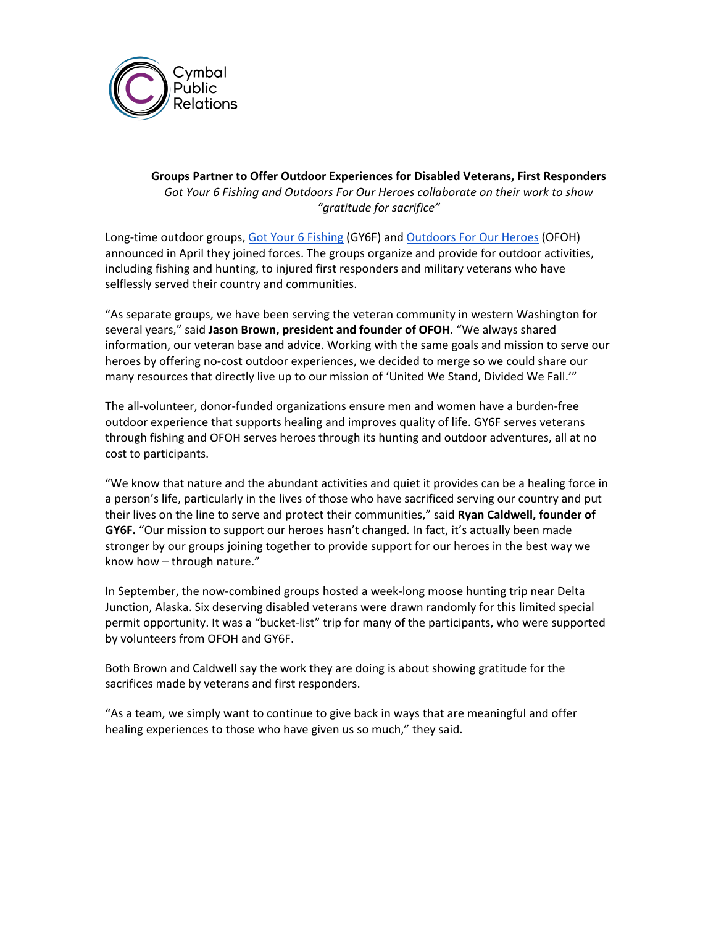

## **Groups Partner to Offer Outdoor Experiences for Disabled Veterans, First Responders** *Got Your 6 Fishing and Outdoors For Our Heroes collaborate on their work to show "gratitude for sacrifice"*

Long-time outdoor groups[, Got Your 6 Fishing](https://gotyour6fishing.com/) (GY6F) and [Outdoors For Our Heroes](https://outdoorsforourheroes.org/) (OFOH) announced in April they joined forces. The groups organize and provide for outdoor activities, including fishing and hunting, to injured first responders and military veterans who have selflessly served their country and communities.

"As separate groups, we have been serving the veteran community in western Washington for several years," said **Jason Brown, president and founder of OFOH**. "We always shared information, our veteran base and advice. Working with the same goals and mission to serve our heroes by offering no-cost outdoor experiences, we decided to merge so we could share our many resources that directly live up to our mission of 'United We Stand, Divided We Fall.'"

The all-volunteer, donor-funded organizations ensure men and women have a burden-free outdoor experience that supports healing and improves quality of life. GY6F serves veterans through fishing and OFOH serves heroes through its hunting and outdoor adventures, all at no cost to participants.

"We know that nature and the abundant activities and quiet it provides can be a healing force in a person's life, particularly in the lives of those who have sacrificed serving our country and put their lives on the line to serve and protect their communities," said **Ryan Caldwell, founder of GY6F.** "Our mission to support our heroes hasn't changed. In fact, it's actually been made stronger by our groups joining together to provide support for our heroes in the best way we know how – through nature."

In September, the now-combined groups hosted a week-long moose hunting trip near Delta Junction, Alaska. Six deserving disabled veterans were drawn randomly for this limited special permit opportunity. It was a "bucket-list" trip for many of the participants, who were supported by volunteers from OFOH and GY6F.

Both Brown and Caldwell say the work they are doing is about showing gratitude for the sacrifices made by veterans and first responders.

"As a team, we simply want to continue to give back in ways that are meaningful and offer healing experiences to those who have given us so much," they said.